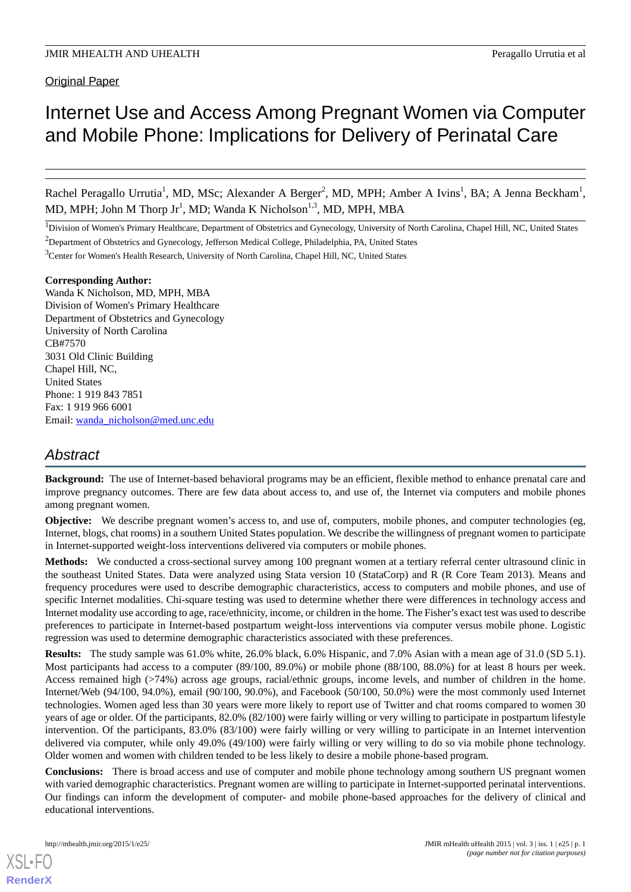Original Paper

# Internet Use and Access Among Pregnant Women via Computer and Mobile Phone: Implications for Delivery of Perinatal Care

Rachel Peragallo Urrutia<sup>1</sup>, MD, MSc; Alexander A Berger<sup>2</sup>, MD, MPH; Amber A Ivins<sup>1</sup>, BA; A Jenna Beckham<sup>1</sup>, MD, MPH; John M Thorp Jr<sup>1</sup>, MD; Wanda K Nicholson<sup>1,3</sup>, MD, MPH, MBA

<sup>1</sup>Division of Women's Primary Healthcare, Department of Obstetrics and Gynecology, University of North Carolina, Chapel Hill, NC, United States

<sup>2</sup>Department of Obstetrics and Gynecology, Jefferson Medical College, Philadelphia, PA, United States

<sup>3</sup>Center for Women's Health Research, University of North Carolina, Chapel Hill, NC, United States

#### **Corresponding Author:**

Wanda K Nicholson, MD, MPH, MBA Division of Women's Primary Healthcare Department of Obstetrics and Gynecology University of North Carolina CB#7570 3031 Old Clinic Building Chapel Hill, NC, United States Phone: 1 919 843 7851 Fax: 1 919 966 6001 Email: [wanda\\_nicholson@med.unc.edu](mailto:wanda_nicholson@med.unc.edu)

## *Abstract*

**Background:** The use of Internet-based behavioral programs may be an efficient, flexible method to enhance prenatal care and improve pregnancy outcomes. There are few data about access to, and use of, the Internet via computers and mobile phones among pregnant women.

**Objective:** We describe pregnant women's access to, and use of, computers, mobile phones, and computer technologies (eg, Internet, blogs, chat rooms) in a southern United States population. We describe the willingness of pregnant women to participate in Internet-supported weight-loss interventions delivered via computers or mobile phones.

**Methods:** We conducted a cross-sectional survey among 100 pregnant women at a tertiary referral center ultrasound clinic in the southeast United States. Data were analyzed using Stata version 10 (StataCorp) and R (R Core Team 2013). Means and frequency procedures were used to describe demographic characteristics, access to computers and mobile phones, and use of specific Internet modalities. Chi-square testing was used to determine whether there were differences in technology access and Internet modality use according to age, race/ethnicity, income, or children in the home. The Fisher's exact test was used to describe preferences to participate in Internet-based postpartum weight-loss interventions via computer versus mobile phone. Logistic regression was used to determine demographic characteristics associated with these preferences.

**Results:** The study sample was 61.0% white, 26.0% black, 6.0% Hispanic, and 7.0% Asian with a mean age of 31.0 (SD 5.1). Most participants had access to a computer (89/100, 89.0%) or mobile phone (88/100, 88.0%) for at least 8 hours per week. Access remained high (>74%) across age groups, racial/ethnic groups, income levels, and number of children in the home. Internet/Web (94/100, 94.0%), email (90/100, 90.0%), and Facebook (50/100, 50.0%) were the most commonly used Internet technologies. Women aged less than 30 years were more likely to report use of Twitter and chat rooms compared to women 30 years of age or older. Of the participants, 82.0% (82/100) were fairly willing or very willing to participate in postpartum lifestyle intervention. Of the participants, 83.0% (83/100) were fairly willing or very willing to participate in an Internet intervention delivered via computer, while only 49.0% (49/100) were fairly willing or very willing to do so via mobile phone technology. Older women and women with children tended to be less likely to desire a mobile phone-based program.

**Conclusions:** There is broad access and use of computer and mobile phone technology among southern US pregnant women with varied demographic characteristics. Pregnant women are willing to participate in Internet-supported perinatal interventions. Our findings can inform the development of computer- and mobile phone-based approaches for the delivery of clinical and educational interventions.

[XSL](http://www.w3.org/Style/XSL)•FO **[RenderX](http://www.renderx.com/)**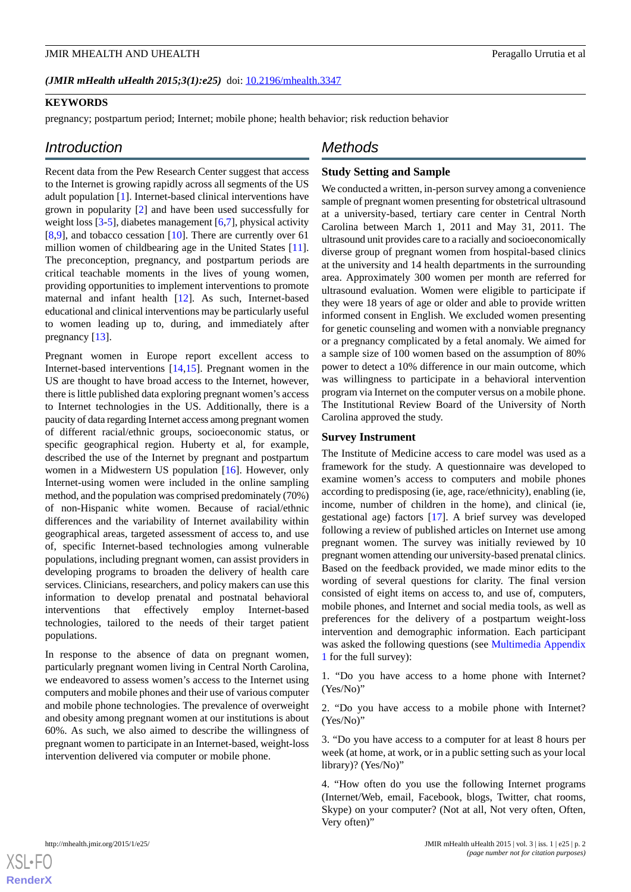#### *(JMIR mHealth uHealth 2015;3(1):e25)* doi:  $10.2196/m$ health.3347

#### **KEYWORDS**

pregnancy; postpartum period; Internet; mobile phone; health behavior; risk reduction behavior

#### *Introduction*

Recent data from the Pew Research Center suggest that access to the Internet is growing rapidly across all segments of the US adult population [[1\]](#page-8-0). Internet-based clinical interventions have grown in popularity [[2\]](#page-8-1) and have been used successfully for weight loss [[3](#page-8-2)[-5](#page-8-3)], diabetes management [[6](#page-8-4)[,7](#page-8-5)], physical activity [[8](#page-8-6)[,9](#page-8-7)], and tobacco cessation [[10\]](#page-8-8). There are currently over 61 million women of childbearing age in the United States [[11\]](#page-8-9). The preconception, pregnancy, and postpartum periods are critical teachable moments in the lives of young women, providing opportunities to implement interventions to promote maternal and infant health [[12\]](#page-8-10). As such, Internet-based educational and clinical interventions may be particularly useful to women leading up to, during, and immediately after pregnancy [[13\]](#page-8-11).

Pregnant women in Europe report excellent access to Internet-based interventions [[14](#page-8-12)[,15](#page-8-13)]. Pregnant women in the US are thought to have broad access to the Internet, however, there is little published data exploring pregnant women's access to Internet technologies in the US. Additionally, there is a paucity of data regarding Internet access among pregnant women of different racial/ethnic groups, socioeconomic status, or specific geographical region. Huberty et al, for example, described the use of the Internet by pregnant and postpartum women in a Midwestern US population [[16\]](#page-8-14). However, only Internet-using women were included in the online sampling method, and the population was comprised predominately (70%) of non-Hispanic white women. Because of racial/ethnic differences and the variability of Internet availability within geographical areas, targeted assessment of access to, and use of, specific Internet-based technologies among vulnerable populations, including pregnant women, can assist providers in developing programs to broaden the delivery of health care services. Clinicians, researchers, and policy makers can use this information to develop prenatal and postnatal behavioral interventions that effectively employ Internet-based technologies, tailored to the needs of their target patient populations.

In response to the absence of data on pregnant women, particularly pregnant women living in Central North Carolina, we endeavored to assess women's access to the Internet using computers and mobile phones and their use of various computer and mobile phone technologies. The prevalence of overweight and obesity among pregnant women at our institutions is about 60%. As such, we also aimed to describe the willingness of pregnant women to participate in an Internet-based, weight-loss intervention delivered via computer or mobile phone.

#### *Methods*

#### **Study Setting and Sample**

We conducted a written, in-person survey among a convenience sample of pregnant women presenting for obstetrical ultrasound at a university-based, tertiary care center in Central North Carolina between March 1, 2011 and May 31, 2011. The ultrasound unit provides care to a racially and socioeconomically diverse group of pregnant women from hospital-based clinics at the university and 14 health departments in the surrounding area. Approximately 300 women per month are referred for ultrasound evaluation. Women were eligible to participate if they were 18 years of age or older and able to provide written informed consent in English. We excluded women presenting for genetic counseling and women with a nonviable pregnancy or a pregnancy complicated by a fetal anomaly. We aimed for a sample size of 100 women based on the assumption of 80% power to detect a 10% difference in our main outcome, which was willingness to participate in a behavioral intervention program via Internet on the computer versus on a mobile phone. The Institutional Review Board of the University of North Carolina approved the study.

#### **Survey Instrument**

The Institute of Medicine access to care model was used as a framework for the study. A questionnaire was developed to examine women's access to computers and mobile phones according to predisposing (ie, age, race/ethnicity), enabling (ie, income, number of children in the home), and clinical (ie, gestational age) factors [\[17](#page-8-15)]. A brief survey was developed following a review of published articles on Internet use among pregnant women. The survey was initially reviewed by 10 pregnant women attending our university-based prenatal clinics. Based on the feedback provided, we made minor edits to the wording of several questions for clarity. The final version consisted of eight items on access to, and use of, computers, mobile phones, and Internet and social media tools, as well as preferences for the delivery of a postpartum weight-loss intervention and demographic information. Each participant was asked the following questions (see [Multimedia Appendix](#page-7-0) [1](#page-7-0) for the full survey):

1. "Do you have access to a home phone with Internet? (Yes/No)"

2. "Do you have access to a mobile phone with Internet? (Yes/No)"

3. "Do you have access to a computer for at least 8 hours per week (at home, at work, or in a public setting such as your local library)? (Yes/No)"

4. "How often do you use the following Internet programs (Internet/Web, email, Facebook, blogs, Twitter, chat rooms, Skype) on your computer? (Not at all, Not very often, Often, Very often)"

```
XSL•FORenderX
```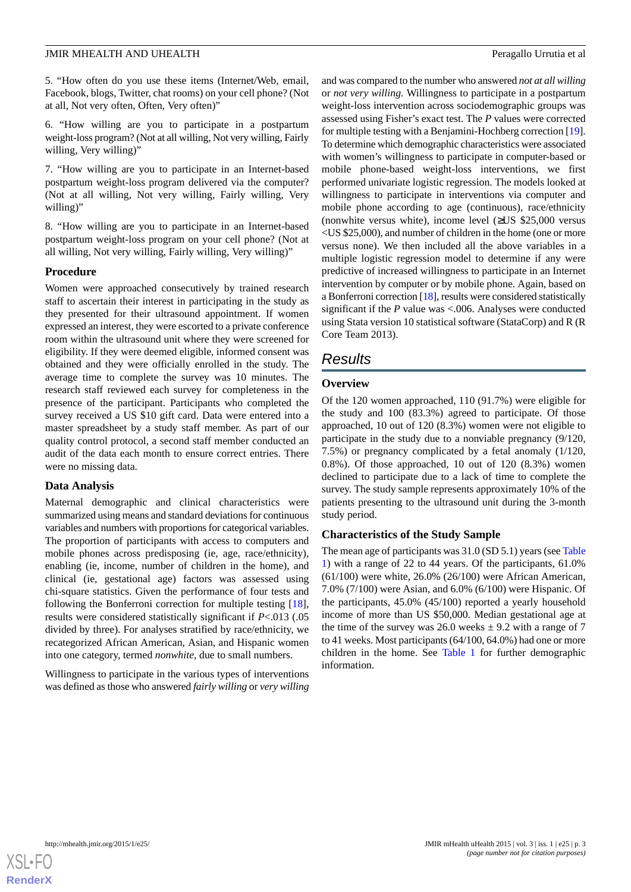5. "How often do you use these items (Internet/Web, email, Facebook, blogs, Twitter, chat rooms) on your cell phone? (Not at all, Not very often, Often, Very often)"

6. "How willing are you to participate in a postpartum weight-loss program? (Not at all willing, Not very willing, Fairly willing, Very willing)"

7. "How willing are you to participate in an Internet-based postpartum weight-loss program delivered via the computer? (Not at all willing, Not very willing, Fairly willing, Very willing)"

8. "How willing are you to participate in an Internet-based postpartum weight-loss program on your cell phone? (Not at all willing, Not very willing, Fairly willing, Very willing)"

#### **Procedure**

Women were approached consecutively by trained research staff to ascertain their interest in participating in the study as they presented for their ultrasound appointment. If women expressed an interest, they were escorted to a private conference room within the ultrasound unit where they were screened for eligibility. If they were deemed eligible, informed consent was obtained and they were officially enrolled in the study. The average time to complete the survey was 10 minutes. The research staff reviewed each survey for completeness in the presence of the participant. Participants who completed the survey received a US \$10 gift card. Data were entered into a master spreadsheet by a study staff member. As part of our quality control protocol, a second staff member conducted an audit of the data each month to ensure correct entries. There were no missing data.

#### **Data Analysis**

Maternal demographic and clinical characteristics were summarized using means and standard deviations for continuous variables and numbers with proportions for categorical variables. The proportion of participants with access to computers and mobile phones across predisposing (ie, age, race/ethnicity), enabling (ie, income, number of children in the home), and clinical (ie, gestational age) factors was assessed using chi-square statistics. Given the performance of four tests and following the Bonferroni correction for multiple testing [[18\]](#page-8-16), results were considered statistically significant if *P*<.013 (.05 divided by three). For analyses stratified by race/ethnicity, we recategorized African American, Asian, and Hispanic women into one category, termed *nonwhite*, due to small numbers.

Willingness to participate in the various types of interventions was defined as those who answered *fairly willing* or *very willing*

and was compared to the number who answered *not at all willing* or *not very willing*. Willingness to participate in a postpartum weight-loss intervention across sociodemographic groups was assessed using Fisher's exact test. The *P* values were corrected for multiple testing with a Benjamini-Hochberg correction [\[19](#page-8-17)]. To determine which demographic characteristics were associated with women's willingness to participate in computer-based or mobile phone-based weight-loss interventions, we first performed univariate logistic regression. The models looked at willingness to participate in interventions via computer and mobile phone according to age (continuous), race/ethnicity (nonwhite versus white), income level (≥US \$25,000 versus <US \$25,000), and number of children in the home (one or more versus none). We then included all the above variables in a multiple logistic regression model to determine if any were predictive of increased willingness to participate in an Internet intervention by computer or by mobile phone. Again, based on a Bonferroni correction [\[18\]](#page-8-16), results were considered statistically significant if the *P* value was <.006. Analyses were conducted using Stata version 10 statistical software (StataCorp) and R (R Core Team 2013).

### *Results*

#### **Overview**

Of the 120 women approached, 110 (91.7%) were eligible for the study and 100 (83.3%) agreed to participate. Of those approached, 10 out of 120 (8.3%) women were not eligible to participate in the study due to a nonviable pregnancy (9/120, 7.5%) or pregnancy complicated by a fetal anomaly (1/120, 0.8%). Of those approached, 10 out of 120 (8.3%) women declined to participate due to a lack of time to complete the survey. The study sample represents approximately 10% of the patients presenting to the ultrasound unit during the 3-month study period.

#### **Characteristics of the Study Sample**

The mean age of participants was 31.0 (SD 5.1) years (see [Table](#page-3-0) [1\)](#page-3-0) with a range of 22 to 44 years. Of the participants, 61.0% (61/100) were white, 26.0% (26/100) were African American, 7.0% (7/100) were Asian, and 6.0% (6/100) were Hispanic. Of the participants, 45.0% (45/100) reported a yearly household income of more than US \$50,000. Median gestational age at the time of the survey was 26.0 weeks  $\pm$  9.2 with a range of 7 to 41 weeks. Most participants (64/100, 64.0%) had one or more children in the home. See [Table 1](#page-3-0) for further demographic information.

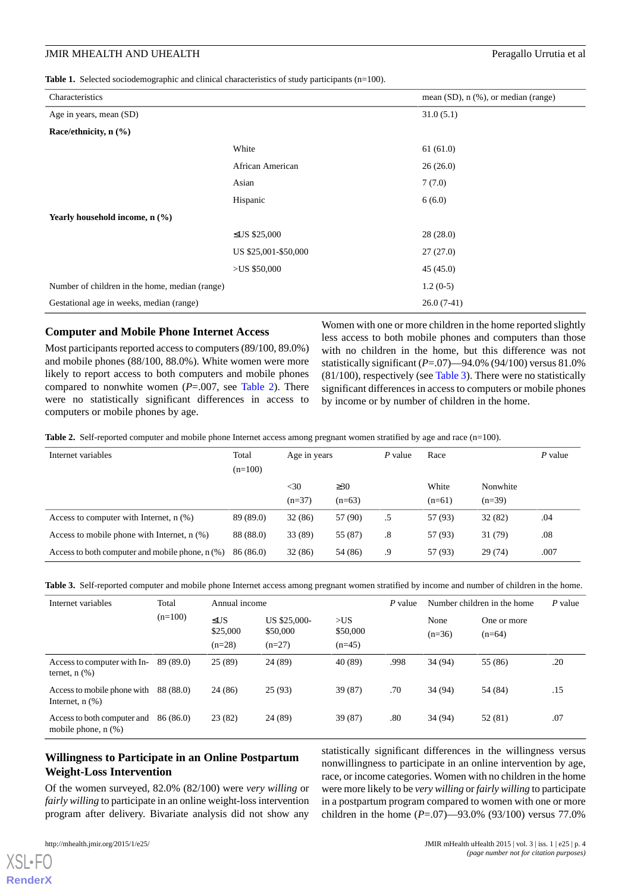<span id="page-3-0"></span>**Table 1.** Selected sociodemographic and clinical characteristics of study participants (n=100).

| Characteristics                                |                      | mean $(SD)$ , n $(\%)$ , or median (range) |
|------------------------------------------------|----------------------|--------------------------------------------|
| Age in years, mean (SD)                        |                      | 31.0(5.1)                                  |
| Race/ethnicity, $n$ (%)                        |                      |                                            |
|                                                | White                | 61(61.0)                                   |
|                                                | African American     | 26(26.0)                                   |
|                                                | Asian                | 7(7.0)                                     |
|                                                | Hispanic             | 6(6.0)                                     |
| Yearly household income, $n$ $(\% )$           |                      |                                            |
|                                                | ≤US \$25,000         | 28(28.0)                                   |
|                                                | US \$25,001-\$50,000 | 27(27.0)                                   |
|                                                | >US \$50,000         | 45(45.0)                                   |
| Number of children in the home, median (range) |                      | $1.2(0-5)$                                 |
| Gestational age in weeks, median (range)       |                      | $26.0(7-41)$                               |

#### **Computer and Mobile Phone Internet Access**

Most participants reported access to computers (89/100, 89.0%) and mobile phones (88/100, 88.0%). White women were more likely to report access to both computers and mobile phones compared to nonwhite women (*P*=.007, see [Table 2\)](#page-3-1). There were no statistically significant differences in access to computers or mobile phones by age.

Women with one or more children in the home reported slightly less access to both mobile phones and computers than those with no children in the home, but this difference was not statistically significant (*P*=.07)—94.0% (94/100) versus 81.0% (81/100), respectively (see [Table 3](#page-3-2)). There were no statistically significant differences in access to computers or mobile phones by income or by number of children in the home.

<span id="page-3-1"></span>**Table 2.** Self-reported computer and mobile phone Internet access among pregnant women stratified by age and race (n=100).

| Internet variables                                | Total     | Age in years |           | P value | Race     |          | $P$ value |
|---------------------------------------------------|-----------|--------------|-----------|---------|----------|----------|-----------|
|                                                   | $(n=100)$ |              |           |         |          |          |           |
|                                                   |           | $<$ 30       | $\geq 30$ |         | White    | Nonwhite |           |
|                                                   |           | $(n=37)$     | $(n=63)$  |         | $(n=61)$ | $(n=39)$ |           |
| Access to computer with Internet, $n$ $(\%)$      | 89 (89.0) | 32(86)       | 57 (90)   | .5      | 57 (93)  | 32(82)   | .04       |
| Access to mobile phone with Internet, $n$ $(\%)$  | 88 (88.0) | 33 (89)      | 55 (87)   | .8      | 57 (93)  | 31 (79)  | .08       |
| Access to both computer and mobile phone, $n$ (%) | 86 (86.0) | 32(86)       | 54 (86)   | .9      | 57 (93)  | 29(74)   | .007      |

<span id="page-3-2"></span>

|  |  |  |  |  | Table 3. Self-reported computer and mobile phone Internet access among pregnant women stratified by income and number of children in the home. |
|--|--|--|--|--|------------------------------------------------------------------------------------------------------------------------------------------------|
|--|--|--|--|--|------------------------------------------------------------------------------------------------------------------------------------------------|

| Internet variables                                      | Total     | Annual income                     |                                      |                             | P value | Number children in the home |                         | $P$ value |
|---------------------------------------------------------|-----------|-----------------------------------|--------------------------------------|-----------------------------|---------|-----------------------------|-------------------------|-----------|
|                                                         | $(n=100)$ | $\leq$ US<br>\$25,000<br>$(n=28)$ | US \$25,000-<br>\$50,000<br>$(n=27)$ | >US<br>\$50,000<br>$(n=45)$ |         | None<br>$(n=36)$            | One or more<br>$(n=64)$ |           |
| Access to computer with In-<br>ternet, $n$ $(\%)$       | 89 (89.0) | 25(89)                            | 24 (89)                              | 40 (89)                     | .998    | 34 (94)                     | 55 (86)                 | .20       |
| Access to mobile phone with<br>Internet, $n$ $(\%)$     | 88 (88.0) | 24 (86)                           | 25(93)                               | 39 (87)                     | .70     | 34 (94)                     | 54 (84)                 | .15       |
| Access to both computer and<br>mobile phone, $n$ $(\%)$ | 86 (86.0) | 23(82)                            | 24 (89)                              | 39 (87)                     | .80     | 34 (94)                     | 52 (81)                 | .07       |

#### **Willingness to Participate in an Online Postpartum Weight-Loss Intervention**

Of the women surveyed, 82.0% (82/100) were *very willing* or *fairly willing* to participate in an online weight-loss intervention program after delivery. Bivariate analysis did not show any

 $X$ SL•F $O$ **[RenderX](http://www.renderx.com/)** statistically significant differences in the willingness versus nonwillingness to participate in an online intervention by age, race, or income categories. Women with no children in the home were more likely to be *very willing* or *fairly willing* to participate in a postpartum program compared to women with one or more children in the home (*P*=.07)—93.0% (93/100) versus 77.0%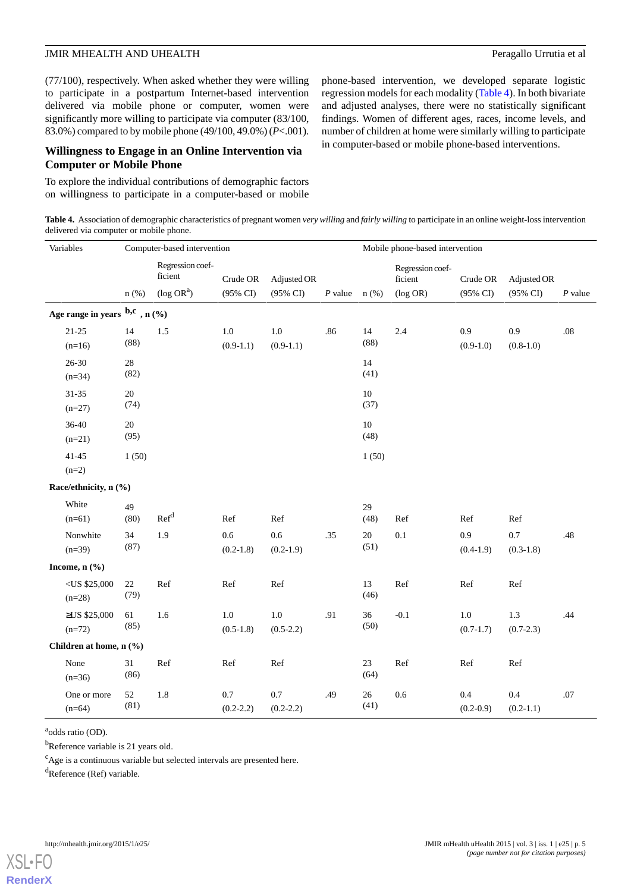(77/100), respectively. When asked whether they were willing to participate in a postpartum Internet-based intervention delivered via mobile phone or computer, women were significantly more willing to participate via computer (83/100, 83.0%) compared to by mobile phone (49/100, 49.0%) (*P*<.001).

#### **Willingness to Engage in an Online Intervention via Computer or Mobile Phone**

<span id="page-4-0"></span>To explore the individual contributions of demographic factors on willingness to participate in a computer-based or mobile phone-based intervention, we developed separate logistic regression models for each modality ([Table 4\)](#page-4-0). In both bivariate and adjusted analyses, there were no statistically significant findings. Women of different ages, races, income levels, and number of children at home were similarly willing to participate in computer-based or mobile phone-based interventions.

**Table 4.** Association of demographic characteristics of pregnant women *very willing* and *fairly willing* to participate in an online weight-loss intervention delivered via computer or mobile phone.

| Variables                              | Computer-based intervention |                                                          |                        |                                    | Mobile phone-based intervention |                |                                            |                                 |                         |           |
|----------------------------------------|-----------------------------|----------------------------------------------------------|------------------------|------------------------------------|---------------------------------|----------------|--------------------------------------------|---------------------------------|-------------------------|-----------|
|                                        | $n$ (%)                     | Regression coef-<br>ficient<br>$(\log$ OR <sup>a</sup> ) | Crude OR<br>(95% CI)   | Adjusted OR<br>$(95\% \text{ CI})$ | $P$ value                       | $n$ (%)        | Regression coef-<br>ficient<br>$(\log$ OR) | Crude OR<br>$(95\% \text{ CI})$ | Adjusted OR<br>(95% CI) | $P$ value |
| Age range in years $^{b,c}$ , n $(\%)$ |                             |                                                          |                        |                                    |                                 |                |                                            |                                 |                         |           |
| $21 - 25$<br>$(n=16)$                  | 14<br>(88)                  | 1.5                                                      | $1.0\,$<br>$(0.9-1.1)$ | 1.0<br>$(0.9-1.1)$                 | .86                             | 14<br>(88)     | 2.4                                        | 0.9<br>$(0.9-1.0)$              | 0.9<br>$(0.8-1.0)$      | $.08\,$   |
| $26 - 30$<br>$(n=34)$                  | $28\,$<br>(82)              |                                                          |                        |                                    |                                 | 14<br>(41)     |                                            |                                 |                         |           |
| $31 - 35$<br>$(n=27)$                  | 20<br>(74)                  |                                                          |                        |                                    |                                 | 10<br>(37)     |                                            |                                 |                         |           |
| 36-40<br>$(n=21)$                      | $20\,$<br>(95)              |                                                          |                        |                                    |                                 | $10\,$<br>(48) |                                            |                                 |                         |           |
| $41 - 45$<br>$(n=2)$                   | 1(50)                       |                                                          |                        |                                    |                                 | 1(50)          |                                            |                                 |                         |           |
| Race/ethnicity, n (%)                  |                             |                                                          |                        |                                    |                                 |                |                                            |                                 |                         |           |
| White<br>$(n=61)$                      | 49<br>(80)                  | Ref <sup>d</sup>                                         | Ref                    | Ref                                |                                 | 29<br>(48)     | Ref                                        | Ref                             | Ref                     |           |
| Nonwhite<br>$(n=39)$                   | 34<br>(87)                  | 1.9                                                      | 0.6<br>$(0.2 - 1.8)$   | 0.6<br>$(0.2-1.9)$                 | .35                             | $20\,$<br>(51) | 0.1                                        | 0.9<br>$(0.4-1.9)$              | 0.7<br>$(0.3-1.8)$      | .48       |
| Income, $n$ $(\frac{6}{6})$            |                             |                                                          |                        |                                    |                                 |                |                                            |                                 |                         |           |
| $<$ US \$25,000<br>$(n=28)$            | 22<br>(79)                  | Ref                                                      | Ref                    | Ref                                |                                 | 13<br>(46)     | Ref                                        | Ref                             | Ref                     |           |
| ≥US \$25,000<br>$(n=72)$               | 61<br>(85)                  | 1.6                                                      | $1.0\,$<br>$(0.5-1.8)$ | $1.0\,$<br>$(0.5-2.2)$             | .91                             | 36<br>(50)     | $-0.1$                                     | $1.0\,$<br>$(0.7-1.7)$          | 1.3<br>$(0.7 - 2.3)$    | .44       |
| Children at home, n (%)                |                             |                                                          |                        |                                    |                                 |                |                                            |                                 |                         |           |
| None<br>$(n=36)$                       | 31<br>(86)                  | Ref                                                      | Ref                    | Ref                                |                                 | 23<br>(64)     | Ref                                        | Ref                             | Ref                     |           |
| One or more<br>$(n=64)$                | 52<br>(81)                  | 1.8                                                      | 0.7<br>$(0.2 - 2.2)$   | 0.7<br>$(0.2 - 2.2)$               | .49                             | 26<br>(41)     | 0.6                                        | 0.4<br>$(0.2 - 0.9)$            | 0.4<br>$(0.2-1.1)$      | .07       |

<sup>a</sup>odds ratio (OD).

 $<sup>b</sup>$ Reference variable is 21 years old.</sup>

 $c$ Age is a continuous variable but selected intervals are presented here.

 $d$ Reference (Ref) variable.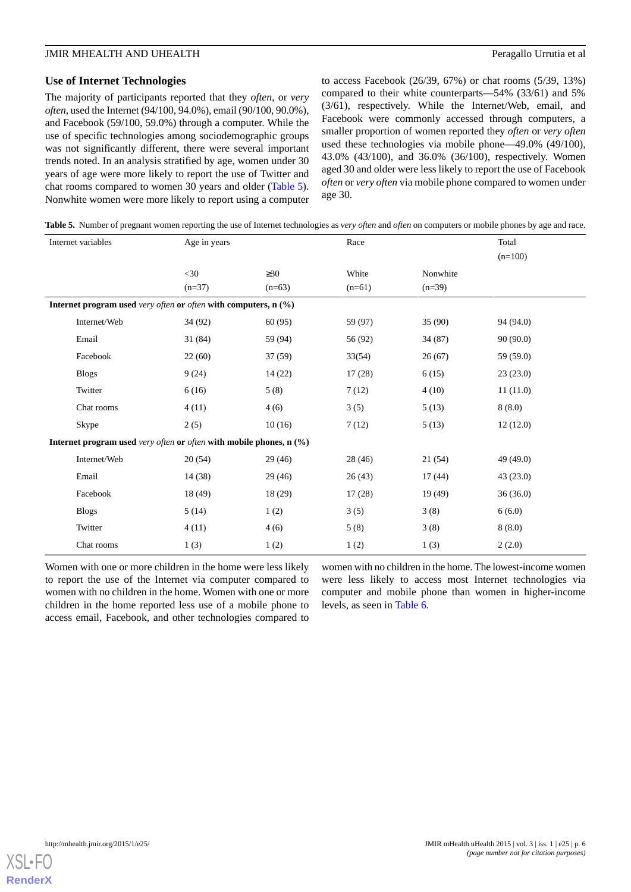#### **Use of Internet Technologies**

The majority of participants reported that they *often*, or *very often*, used the Internet (94/100, 94.0%), email (90/100, 90.0%), and Facebook (59/100, 59.0%) through a computer. While the use of specific technologies among sociodemographic groups was not significantly different, there were several important trends noted. In an analysis stratified by age, women under 30 years of age were more likely to report the use of Twitter and chat rooms compared to women 30 years and older ([Table 5\)](#page-5-0). Nonwhite women were more likely to report using a computer

to access Facebook (26/39, 67%) or chat rooms (5/39, 13%) compared to their white counterparts—54% (33/61) and 5% (3/61), respectively. While the Internet/Web, email, and Facebook were commonly accessed through computers, a smaller proportion of women reported they *often* or *very often* used these technologies via mobile phone—49.0% (49/100), 43.0% (43/100), and 36.0% (36/100), respectively. Women aged 30 and older were less likely to report the use of Facebook *often* or *very often* via mobile phone compared to women under age 30.

<span id="page-5-0"></span>**Table 5.** Number of pregnant women reporting the use of Internet technologies as *very often* and *often* on computers or mobile phones by age and race.

|                                                                   | Internet variables                                                    | Age in years |           | Race     |          | Total     |
|-------------------------------------------------------------------|-----------------------------------------------------------------------|--------------|-----------|----------|----------|-----------|
|                                                                   |                                                                       |              |           |          |          | $(n=100)$ |
|                                                                   |                                                                       | $<$ 30       | $\geq 30$ | White    | Nonwhite |           |
|                                                                   |                                                                       | $(n=37)$     | $(n=63)$  | $(n=61)$ | $(n=39)$ |           |
| Internet program used very often or often with computers, $n$ (%) |                                                                       |              |           |          |          |           |
|                                                                   | Internet/Web                                                          | 34 (92)      | 60(95)    | 59 (97)  | 35(90)   | 94 (94.0) |
|                                                                   | Email                                                                 | 31 (84)      | 59 (94)   | 56 (92)  | 34 (87)  | 90(90.0)  |
|                                                                   | Facebook                                                              | 22(60)       | 37(59)    | 33(54)   | 26(67)   | 59 (59.0) |
|                                                                   | <b>Blogs</b>                                                          | 9(24)        | 14(22)    | 17(28)   | 6(15)    | 23(23.0)  |
|                                                                   | Twitter                                                               | 6(16)        | 5(8)      | 7(12)    | 4(10)    | 11(11.0)  |
|                                                                   | Chat rooms                                                            | 4(11)        | 4(6)      | 3(5)     | 5(13)    | 8(8.0)    |
|                                                                   | Skype                                                                 | 2(5)         | 10(16)    | 7(12)    | 5(13)    | 12(12.0)  |
|                                                                   | Internet program used very often or often with mobile phones, $n$ (%) |              |           |          |          |           |
|                                                                   | Internet/Web                                                          | 20(54)       | 29(46)    | 28 (46)  | 21 (54)  | 49(49.0)  |
|                                                                   | Email                                                                 | 14 (38)      | 29(46)    | 26(43)   | 17(44)   | 43(23.0)  |
|                                                                   | Facebook                                                              | 18 (49)      | 18(29)    | 17(28)   | 19 (49)  | 36(36.0)  |
|                                                                   | <b>Blogs</b>                                                          | 5(14)        | 1(2)      | 3(5)     | 3(8)     | 6(6.0)    |
|                                                                   | Twitter                                                               | 4(11)        | 4(6)      | 5(8)     | 3(8)     | 8(8.0)    |
|                                                                   | Chat rooms                                                            | 1(3)         | 1(2)      | 1(2)     | 1(3)     | 2(2.0)    |

Women with one or more children in the home were less likely to report the use of the Internet via computer compared to women with no children in the home. Women with one or more children in the home reported less use of a mobile phone to access email, Facebook, and other technologies compared to

women with no children in the home. The lowest-income women were less likely to access most Internet technologies via computer and mobile phone than women in higher-income levels, as seen in [Table 6](#page-6-0).

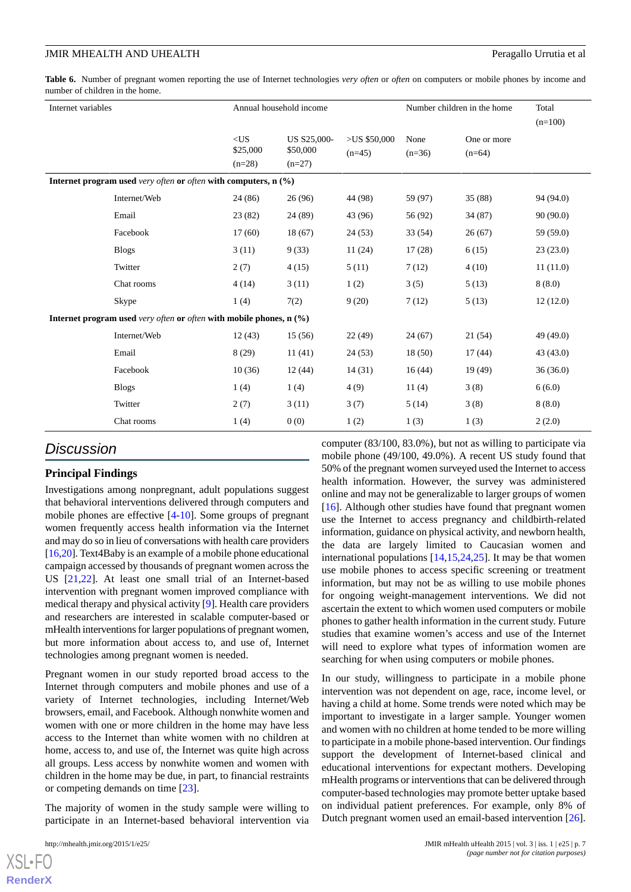<span id="page-6-0"></span>**Table 6.** Number of pregnant women reporting the use of Internet technologies *very often* or *often* on computers or mobile phones by income and number of children in the home.

| Internet variables |                                                                       | Annual household income        |                                     |                            | Number children in the home |                         | Total<br>$(n=100)$ |
|--------------------|-----------------------------------------------------------------------|--------------------------------|-------------------------------------|----------------------------|-----------------------------|-------------------------|--------------------|
|                    |                                                                       | $<$ US<br>\$25,000<br>$(n=28)$ | US S25,000-<br>\$50,000<br>$(n=27)$ | $>US$ \$50,000<br>$(n=45)$ | None<br>$(n=36)$            | One or more<br>$(n=64)$ |                    |
|                    | Internet program used very often or often with computers, $n$ $(\%)$  |                                |                                     |                            |                             |                         |                    |
|                    | Internet/Web                                                          | 24 (86)                        | 26(96)                              | 44 (98)                    | 59 (97)                     | 35(88)                  | 94 (94.0)          |
|                    | Email                                                                 | 23(82)                         | 24 (89)                             | 43 (96)                    | 56 (92)                     | 34 (87)                 | 90(90.0)           |
|                    | Facebook                                                              | 17(60)                         | 18(67)                              | 24(53)                     | 33 (54)                     | 26(67)                  | 59 (59.0)          |
|                    | <b>Blogs</b>                                                          | 3(11)                          | 9(33)                               | 11(24)                     | 17(28)                      | 6(15)                   | 23(23.0)           |
|                    | Twitter                                                               | 2(7)                           | 4(15)                               | 5(11)                      | 7(12)                       | 4(10)                   | 11(11.0)           |
|                    | Chat rooms                                                            | 4(14)                          | 3(11)                               | 1(2)                       | 3(5)                        | 5(13)                   | 8(8.0)             |
|                    | Skype                                                                 | 1(4)                           | 7(2)                                | 9(20)                      | 7(12)                       | 5(13)                   | 12(12.0)           |
|                    | Internet program used very often or often with mobile phones, $n$ (%) |                                |                                     |                            |                             |                         |                    |
|                    | Internet/Web                                                          | 12(43)                         | 15(56)                              | 22(49)                     | 24(67)                      | 21(54)                  | 49(49.0)           |
|                    | Email                                                                 | 8(29)                          | 11(41)                              | 24(53)                     | 18(50)                      | 17(44)                  | 43(43.0)           |
|                    | Facebook                                                              | 10(36)                         | 12(44)                              | 14(31)                     | 16(44)                      | 19 (49)                 | 36(36.0)           |
|                    | <b>Blogs</b>                                                          | 1(4)                           | 1(4)                                | 4(9)                       | 11(4)                       | 3(8)                    | 6(6.0)             |
|                    | Twitter                                                               | 2(7)                           | 3(11)                               | 3(7)                       | 5(14)                       | 3(8)                    | 8(8.0)             |
|                    | Chat rooms                                                            | 1(4)                           | 0(0)                                | 1(2)                       | 1(3)                        | 1(3)                    | 2(2.0)             |

#### *Discussion*

#### **Principal Findings**

Investigations among nonpregnant, adult populations suggest that behavioral interventions delivered through computers and mobile phones are effective [\[4](#page-8-18)-[10\]](#page-8-8). Some groups of pregnant women frequently access health information via the Internet and may do so in lieu of conversations with health care providers [[16,](#page-8-14)[20\]](#page-8-19). Text4Baby is an example of a mobile phone educational campaign accessed by thousands of pregnant women across the US [\[21](#page-8-20),[22\]](#page-8-21). At least one small trial of an Internet-based intervention with pregnant women improved compliance with medical therapy and physical activity [\[9](#page-8-7)]. Health care providers and researchers are interested in scalable computer-based or mHealth interventions for larger populations of pregnant women, but more information about access to, and use of, Internet technologies among pregnant women is needed.

Pregnant women in our study reported broad access to the Internet through computers and mobile phones and use of a variety of Internet technologies, including Internet/Web browsers, email, and Facebook. Although nonwhite women and women with one or more children in the home may have less access to the Internet than white women with no children at home, access to, and use of, the Internet was quite high across all groups. Less access by nonwhite women and women with children in the home may be due, in part, to financial restraints or competing demands on time [\[23](#page-8-22)].

The majority of women in the study sample were willing to participate in an Internet-based behavioral intervention via

 $X$ SL•FO **[RenderX](http://www.renderx.com/)** computer (83/100, 83.0%), but not as willing to participate via mobile phone (49/100, 49.0%). A recent US study found that 50% of the pregnant women surveyed used the Internet to access health information. However, the survey was administered online and may not be generalizable to larger groups of women [[16\]](#page-8-14). Although other studies have found that pregnant women use the Internet to access pregnancy and childbirth-related information, guidance on physical activity, and newborn health, the data are largely limited to Caucasian women and international populations [\[14](#page-8-12),[15](#page-8-13)[,24](#page-9-0),[25\]](#page-9-1). It may be that women use mobile phones to access specific screening or treatment information, but may not be as willing to use mobile phones for ongoing weight-management interventions. We did not ascertain the extent to which women used computers or mobile phones to gather health information in the current study. Future studies that examine women's access and use of the Internet will need to explore what types of information women are searching for when using computers or mobile phones.

In our study, willingness to participate in a mobile phone intervention was not dependent on age, race, income level, or having a child at home. Some trends were noted which may be important to investigate in a larger sample. Younger women and women with no children at home tended to be more willing to participate in a mobile phone-based intervention. Our findings support the development of Internet-based clinical and educational interventions for expectant mothers. Developing mHealth programs or interventions that can be delivered through computer-based technologies may promote better uptake based on individual patient preferences. For example, only 8% of Dutch pregnant women used an email-based intervention [[26\]](#page-9-2).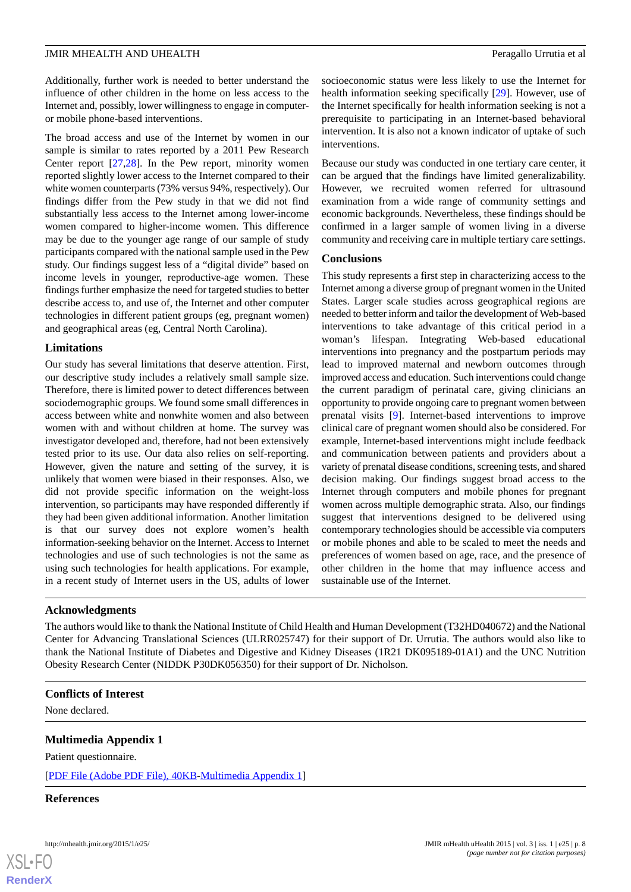Additionally, further work is needed to better understand the influence of other children in the home on less access to the Internet and, possibly, lower willingness to engage in computeror mobile phone-based interventions.

The broad access and use of the Internet by women in our sample is similar to rates reported by a 2011 Pew Research Center report [\[27](#page-9-3),[28\]](#page-9-4). In the Pew report, minority women reported slightly lower access to the Internet compared to their white women counterparts (73% versus 94%, respectively). Our findings differ from the Pew study in that we did not find substantially less access to the Internet among lower-income women compared to higher-income women. This difference may be due to the younger age range of our sample of study participants compared with the national sample used in the Pew study. Our findings suggest less of a "digital divide" based on income levels in younger, reproductive-age women. These findings further emphasize the need for targeted studies to better describe access to, and use of, the Internet and other computer technologies in different patient groups (eg, pregnant women) and geographical areas (eg, Central North Carolina).

#### **Limitations**

Our study has several limitations that deserve attention. First, our descriptive study includes a relatively small sample size. Therefore, there is limited power to detect differences between sociodemographic groups. We found some small differences in access between white and nonwhite women and also between women with and without children at home. The survey was investigator developed and, therefore, had not been extensively tested prior to its use. Our data also relies on self-reporting. However, given the nature and setting of the survey, it is unlikely that women were biased in their responses. Also, we did not provide specific information on the weight-loss intervention, so participants may have responded differently if they had been given additional information. Another limitation is that our survey does not explore women's health information-seeking behavior on the Internet. Access to Internet technologies and use of such technologies is not the same as using such technologies for health applications. For example, in a recent study of Internet users in the US, adults of lower

socioeconomic status were less likely to use the Internet for health information seeking specifically [[29\]](#page-9-5). However, use of the Internet specifically for health information seeking is not a prerequisite to participating in an Internet-based behavioral intervention. It is also not a known indicator of uptake of such interventions.

Because our study was conducted in one tertiary care center, it can be argued that the findings have limited generalizability. However, we recruited women referred for ultrasound examination from a wide range of community settings and economic backgrounds. Nevertheless, these findings should be confirmed in a larger sample of women living in a diverse community and receiving care in multiple tertiary care settings.

#### **Conclusions**

This study represents a first step in characterizing access to the Internet among a diverse group of pregnant women in the United States. Larger scale studies across geographical regions are needed to better inform and tailor the development of Web-based interventions to take advantage of this critical period in a woman's lifespan. Integrating Web-based educational interventions into pregnancy and the postpartum periods may lead to improved maternal and newborn outcomes through improved access and education. Such interventions could change the current paradigm of perinatal care, giving clinicians an opportunity to provide ongoing care to pregnant women between prenatal visits [[9\]](#page-8-7). Internet-based interventions to improve clinical care of pregnant women should also be considered. For example, Internet-based interventions might include feedback and communication between patients and providers about a variety of prenatal disease conditions, screening tests, and shared decision making. Our findings suggest broad access to the Internet through computers and mobile phones for pregnant women across multiple demographic strata. Also, our findings suggest that interventions designed to be delivered using contemporary technologies should be accessible via computers or mobile phones and able to be scaled to meet the needs and preferences of women based on age, race, and the presence of other children in the home that may influence access and sustainable use of the Internet.

#### **Acknowledgments**

The authors would like to thank the National Institute of Child Health and Human Development (T32HD040672) and the National Center for Advancing Translational Sciences (ULRR025747) for their support of Dr. Urrutia. The authors would also like to thank the National Institute of Diabetes and Digestive and Kidney Diseases (1R21 DK095189-01A1) and the UNC Nutrition Obesity Research Center (NIDDK P30DK056350) for their support of Dr. Nicholson.

#### <span id="page-7-0"></span>**Conflicts of Interest**

None declared.

#### **Multimedia Appendix 1**

Patient questionnaire.

[[PDF File \(Adobe PDF File\), 40KB-Multimedia Appendix 1](https://jmir.org/api/download?alt_name=mhealth_v3i1e25_app1.pdf&filename=ac66cf3c1fb7d0e0f3f4e987a58852ba.pdf)]

#### **References**



#### http://mhealth.jmir.org/2015/1/e25/ JMIR mHealth uHealth 2015 | vol. 3 | iss. 1 | e25 | p. 8 *(page number not for citation purposes)*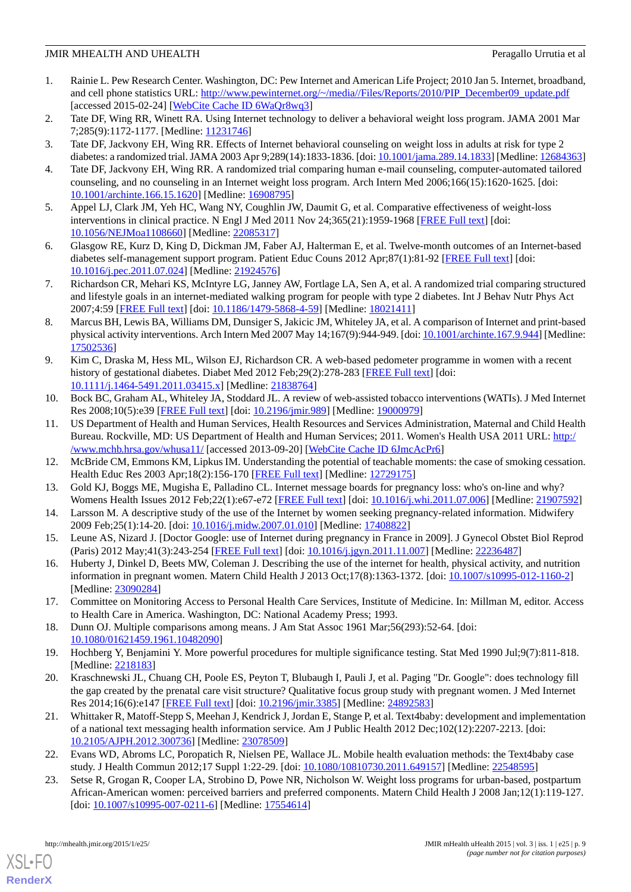- <span id="page-8-0"></span>1. Rainie L. Pew Research Center. Washington, DC: Pew Internet and American Life Project; 2010 Jan 5. Internet, broadband, and cell phone statistics URL: [http://www.pewinternet.org/~/media//Files/Reports/2010/PIP\\_December09\\_update.pdf](http://www.pewinternet.org/~/media//Files/Reports/2010/PIP_December09_update.pdf) [accessed 2015-02-24] [\[WebCite Cache ID 6WaQr8wq3\]](http://www.webcitation.org/

                                    6WaQr8wq3)
- <span id="page-8-2"></span><span id="page-8-1"></span>2. Tate DF, Wing RR, Winett RA. Using Internet technology to deliver a behavioral weight loss program. JAMA 2001 Mar 7;285(9):1172-1177. [Medline: [11231746](http://www.ncbi.nlm.nih.gov/entrez/query.fcgi?cmd=Retrieve&db=PubMed&list_uids=11231746&dopt=Abstract)]
- <span id="page-8-18"></span>3. Tate DF, Jackvony EH, Wing RR. Effects of Internet behavioral counseling on weight loss in adults at risk for type 2 diabetes: a randomized trial. JAMA 2003 Apr 9;289(14):1833-1836. [doi: [10.1001/jama.289.14.1833](http://dx.doi.org/10.1001/jama.289.14.1833)] [Medline: [12684363](http://www.ncbi.nlm.nih.gov/entrez/query.fcgi?cmd=Retrieve&db=PubMed&list_uids=12684363&dopt=Abstract)]
- <span id="page-8-3"></span>4. Tate DF, Jackvony EH, Wing RR. A randomized trial comparing human e-mail counseling, computer-automated tailored counseling, and no counseling in an Internet weight loss program. Arch Intern Med 2006;166(15):1620-1625. [doi: [10.1001/archinte.166.15.1620](http://dx.doi.org/10.1001/archinte.166.15.1620)] [Medline: [16908795](http://www.ncbi.nlm.nih.gov/entrez/query.fcgi?cmd=Retrieve&db=PubMed&list_uids=16908795&dopt=Abstract)]
- <span id="page-8-4"></span>5. Appel LJ, Clark JM, Yeh HC, Wang NY, Coughlin JW, Daumit G, et al. Comparative effectiveness of weight-loss interventions in clinical practice. N Engl J Med 2011 Nov 24;365(21):1959-1968 [[FREE Full text](http://europepmc.org/abstract/MED/22085317)] [doi: [10.1056/NEJMoa1108660](http://dx.doi.org/10.1056/NEJMoa1108660)] [Medline: [22085317](http://www.ncbi.nlm.nih.gov/entrez/query.fcgi?cmd=Retrieve&db=PubMed&list_uids=22085317&dopt=Abstract)]
- <span id="page-8-5"></span>6. Glasgow RE, Kurz D, King D, Dickman JM, Faber AJ, Halterman E, et al. Twelve-month outcomes of an Internet-based diabetes self-management support program. Patient Educ Couns 2012 Apr;87(1):81-92 [\[FREE Full text\]](http://europepmc.org/abstract/MED/21924576) [doi: [10.1016/j.pec.2011.07.024\]](http://dx.doi.org/10.1016/j.pec.2011.07.024) [Medline: [21924576](http://www.ncbi.nlm.nih.gov/entrez/query.fcgi?cmd=Retrieve&db=PubMed&list_uids=21924576&dopt=Abstract)]
- <span id="page-8-6"></span>7. Richardson CR, Mehari KS, McIntyre LG, Janney AW, Fortlage LA, Sen A, et al. A randomized trial comparing structured and lifestyle goals in an internet-mediated walking program for people with type 2 diabetes. Int J Behav Nutr Phys Act 2007;4:59 [[FREE Full text](http://www.ijbnpa.org/content/4//59)] [doi: [10.1186/1479-5868-4-59\]](http://dx.doi.org/10.1186/1479-5868-4-59) [Medline: [18021411\]](http://www.ncbi.nlm.nih.gov/entrez/query.fcgi?cmd=Retrieve&db=PubMed&list_uids=18021411&dopt=Abstract)
- <span id="page-8-7"></span>8. Marcus BH, Lewis BA, Williams DM, Dunsiger S, Jakicic JM, Whiteley JA, et al. A comparison of Internet and print-based physical activity interventions. Arch Intern Med 2007 May 14;167(9):944-949. [doi: [10.1001/archinte.167.9.944](http://dx.doi.org/10.1001/archinte.167.9.944)] [Medline: [17502536](http://www.ncbi.nlm.nih.gov/entrez/query.fcgi?cmd=Retrieve&db=PubMed&list_uids=17502536&dopt=Abstract)]
- <span id="page-8-8"></span>9. Kim C, Draska M, Hess ML, Wilson EJ, Richardson CR. A web-based pedometer programme in women with a recent history of gestational diabetes. Diabet Med 2012 Feb; 29(2): 278-283 [\[FREE Full text\]](http://europepmc.org/abstract/MED/21838764) [doi: [10.1111/j.1464-5491.2011.03415.x\]](http://dx.doi.org/10.1111/j.1464-5491.2011.03415.x) [Medline: [21838764\]](http://www.ncbi.nlm.nih.gov/entrez/query.fcgi?cmd=Retrieve&db=PubMed&list_uids=21838764&dopt=Abstract)
- <span id="page-8-9"></span>10. Bock BC, Graham AL, Whiteley JA, Stoddard JL. A review of web-assisted tobacco interventions (WATIs). J Med Internet Res 2008;10(5):e39 [[FREE Full text\]](http://www.jmir.org/2008/5/e39/) [doi: [10.2196/jmir.989](http://dx.doi.org/10.2196/jmir.989)] [Medline: [19000979\]](http://www.ncbi.nlm.nih.gov/entrez/query.fcgi?cmd=Retrieve&db=PubMed&list_uids=19000979&dopt=Abstract)
- <span id="page-8-11"></span><span id="page-8-10"></span>11. US Department of Health and Human Services, Health Resources and Services Administration, Maternal and Child Health Bureau. Rockville, MD: US Department of Health and Human Services; 2011. Women's Health USA 2011 URL: [http:/](http://www.mchb.hrsa.gov/whusa11/) [/www.mchb.hrsa.gov/whusa11/](http://www.mchb.hrsa.gov/whusa11/) [accessed 2013-09-20] [\[WebCite Cache ID 6JmcAcPr6\]](http://www.webcitation.org/

                                    6JmcAcPr6)
- <span id="page-8-12"></span>12. McBride CM, Emmons KM, Lipkus IM. Understanding the potential of teachable moments: the case of smoking cessation. Health Educ Res 2003 Apr;18(2):156-170 [[FREE Full text](http://her.oxfordjournals.org/cgi/pmidlookup?view=long&pmid=12729175)] [Medline: [12729175\]](http://www.ncbi.nlm.nih.gov/entrez/query.fcgi?cmd=Retrieve&db=PubMed&list_uids=12729175&dopt=Abstract)
- <span id="page-8-13"></span>13. Gold KJ, Boggs ME, Mugisha E, Palladino CL. Internet message boards for pregnancy loss: who's on-line and why? Womens Health Issues 2012 Feb; 22(1): e67-e72 [[FREE Full text](http://europepmc.org/abstract/MED/21907592)] [doi: [10.1016/j.whi.2011.07.006](http://dx.doi.org/10.1016/j.whi.2011.07.006)] [Medline: [21907592](http://www.ncbi.nlm.nih.gov/entrez/query.fcgi?cmd=Retrieve&db=PubMed&list_uids=21907592&dopt=Abstract)]
- <span id="page-8-14"></span>14. Larsson M. A descriptive study of the use of the Internet by women seeking pregnancy-related information. Midwifery 2009 Feb;25(1):14-20. [doi: [10.1016/j.midw.2007.01.010](http://dx.doi.org/10.1016/j.midw.2007.01.010)] [Medline: [17408822\]](http://www.ncbi.nlm.nih.gov/entrez/query.fcgi?cmd=Retrieve&db=PubMed&list_uids=17408822&dopt=Abstract)
- <span id="page-8-15"></span>15. Leune AS, Nizard J. [Doctor Google: use of Internet during pregnancy in France in 2009]. J Gynecol Obstet Biol Reprod (Paris) 2012 May;41(3):243-254 [[FREE Full text](http://www.masson.fr/masson/S0368-2315(11)00329-2)] [doi: [10.1016/j.jgyn.2011.11.007](http://dx.doi.org/10.1016/j.jgyn.2011.11.007)] [Medline: [22236487\]](http://www.ncbi.nlm.nih.gov/entrez/query.fcgi?cmd=Retrieve&db=PubMed&list_uids=22236487&dopt=Abstract)
- <span id="page-8-16"></span>16. Huberty J, Dinkel D, Beets MW, Coleman J. Describing the use of the internet for health, physical activity, and nutrition information in pregnant women. Matern Child Health J 2013 Oct;17(8):1363-1372. [doi: [10.1007/s10995-012-1160-2\]](http://dx.doi.org/10.1007/s10995-012-1160-2) [Medline: [23090284](http://www.ncbi.nlm.nih.gov/entrez/query.fcgi?cmd=Retrieve&db=PubMed&list_uids=23090284&dopt=Abstract)]
- <span id="page-8-19"></span><span id="page-8-17"></span>17. Committee on Monitoring Access to Personal Health Care Services, Institute of Medicine. In: Millman M, editor. Access to Health Care in America. Washington, DC: National Academy Press; 1993.
- 18. Dunn OJ. Multiple comparisons among means. J Am Stat Assoc 1961 Mar;56(293):52-64. [doi: [10.1080/01621459.1961.10482090\]](http://dx.doi.org/10.1080/01621459.1961.10482090)
- <span id="page-8-20"></span>19. Hochberg Y, Benjamini Y. More powerful procedures for multiple significance testing. Stat Med 1990 Jul;9(7):811-818. [Medline: [2218183\]](http://www.ncbi.nlm.nih.gov/entrez/query.fcgi?cmd=Retrieve&db=PubMed&list_uids=2218183&dopt=Abstract)
- <span id="page-8-21"></span>20. Kraschnewski JL, Chuang CH, Poole ES, Peyton T, Blubaugh I, Pauli J, et al. Paging "Dr. Google": does technology fill the gap created by the prenatal care visit structure? Qualitative focus group study with pregnant women. J Med Internet Res 2014;16(6):e147 [\[FREE Full text\]](http://www.jmir.org/2014/6/e147/) [doi: [10.2196/jmir.3385](http://dx.doi.org/10.2196/jmir.3385)] [Medline: [24892583\]](http://www.ncbi.nlm.nih.gov/entrez/query.fcgi?cmd=Retrieve&db=PubMed&list_uids=24892583&dopt=Abstract)
- <span id="page-8-22"></span>21. Whittaker R, Matoff-Stepp S, Meehan J, Kendrick J, Jordan E, Stange P, et al. Text4baby: development and implementation of a national text messaging health information service. Am J Public Health 2012 Dec;102(12):2207-2213. [doi: [10.2105/AJPH.2012.300736\]](http://dx.doi.org/10.2105/AJPH.2012.300736) [Medline: [23078509](http://www.ncbi.nlm.nih.gov/entrez/query.fcgi?cmd=Retrieve&db=PubMed&list_uids=23078509&dopt=Abstract)]
- 22. Evans WD, Abroms LC, Poropatich R, Nielsen PE, Wallace JL. Mobile health evaluation methods: the Text4baby case study. J Health Commun 2012;17 Suppl 1:22-29. [doi: [10.1080/10810730.2011.649157\]](http://dx.doi.org/10.1080/10810730.2011.649157) [Medline: [22548595](http://www.ncbi.nlm.nih.gov/entrez/query.fcgi?cmd=Retrieve&db=PubMed&list_uids=22548595&dopt=Abstract)]
- 23. Setse R, Grogan R, Cooper LA, Strobino D, Powe NR, Nicholson W. Weight loss programs for urban-based, postpartum African-American women: perceived barriers and preferred components. Matern Child Health J 2008 Jan;12(1):119-127. [doi: [10.1007/s10995-007-0211-6](http://dx.doi.org/10.1007/s10995-007-0211-6)] [Medline: [17554614\]](http://www.ncbi.nlm.nih.gov/entrez/query.fcgi?cmd=Retrieve&db=PubMed&list_uids=17554614&dopt=Abstract)